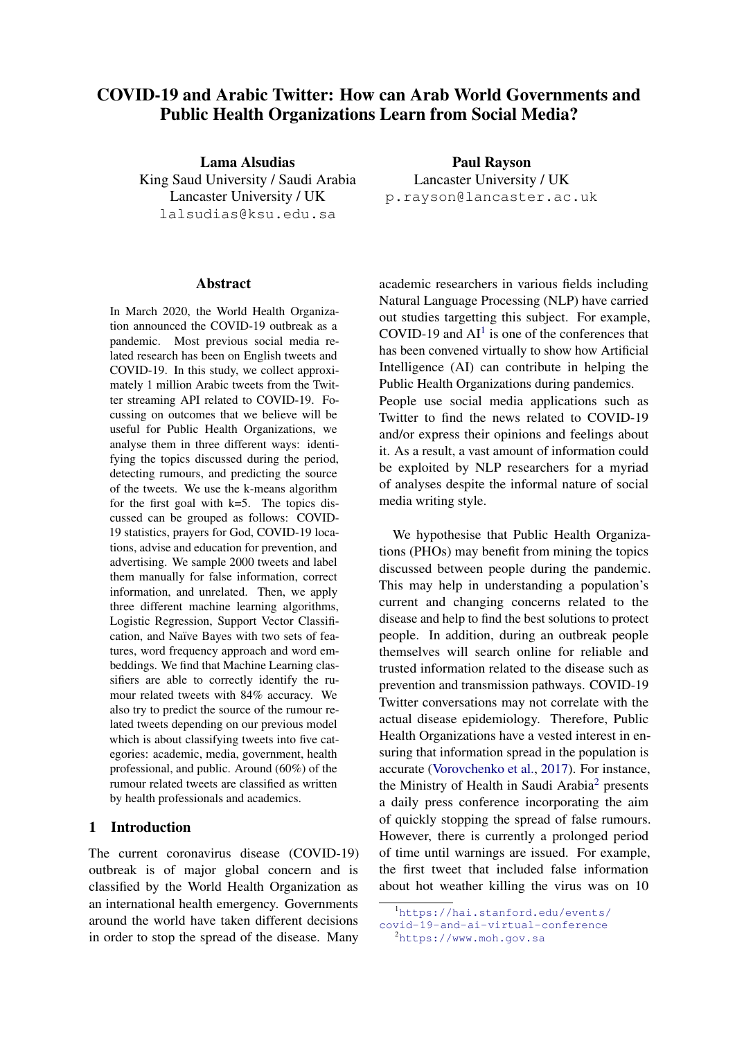# COVID-19 and Arabic Twitter: How can Arab World Governments and Public Health Organizations Learn from Social Media?

Lama Alsudias King Saud University / Saudi Arabia Lancaster University / UK lalsudias@ksu.edu.sa

#### Abstract

In March 2020, the World Health Organization announced the COVID-19 outbreak as a pandemic. Most previous social media related research has been on English tweets and COVID-19. In this study, we collect approximately 1 million Arabic tweets from the Twitter streaming API related to COVID-19. Focussing on outcomes that we believe will be useful for Public Health Organizations, we analyse them in three different ways: identifying the topics discussed during the period, detecting rumours, and predicting the source of the tweets. We use the k-means algorithm for the first goal with  $k=5$ . The topics discussed can be grouped as follows: COVID-19 statistics, prayers for God, COVID-19 locations, advise and education for prevention, and advertising. We sample 2000 tweets and label them manually for false information, correct information, and unrelated. Then, we apply three different machine learning algorithms, Logistic Regression, Support Vector Classification, and Naïve Bayes with two sets of features, word frequency approach and word embeddings. We find that Machine Learning classifiers are able to correctly identify the rumour related tweets with 84% accuracy. We also try to predict the source of the rumour related tweets depending on our previous model which is about classifying tweets into five categories: academic, media, government, health professional, and public. Around (60%) of the rumour related tweets are classified as written by health professionals and academics.

### 1 Introduction

The current coronavirus disease (COVID-19) outbreak is of major global concern and is classified by the World Health Organization as an international health emergency. Governments around the world have taken different decisions in order to stop the spread of the disease. Many

Paul Rayson Lancaster University / UK p.rayson@lancaster.ac.uk

academic researchers in various fields including Natural Language Processing (NLP) have carried out studies targetting this subject. For example, COVID-[1](#page-0-0)9 and  $AI<sup>1</sup>$  is one of the conferences that has been convened virtually to show how Artificial Intelligence (AI) can contribute in helping the Public Health Organizations during pandemics. People use social media applications such as Twitter to find the news related to COVID-19 and/or express their opinions and feelings about it. As a result, a vast amount of information could be exploited by NLP researchers for a myriad of analyses despite the informal nature of social media writing style.

We hypothesise that Public Health Organizations (PHOs) may benefit from mining the topics discussed between people during the pandemic. This may help in understanding a population's current and changing concerns related to the disease and help to find the best solutions to protect people. In addition, during an outbreak people themselves will search online for reliable and trusted information related to the disease such as prevention and transmission pathways. COVID-19 Twitter conversations may not correlate with the actual disease epidemiology. Therefore, Public Health Organizations have a vested interest in ensuring that information spread in the population is accurate [\(Vorovchenko et al.,](#page-8-0) [2017\)](#page-8-0). For instance, the Ministry of Health in Saudi Arabia[2](#page-0-1) presents a daily press conference incorporating the aim of quickly stopping the spread of false rumours. However, there is currently a prolonged period of time until warnings are issued. For example, the first tweet that included false information about hot weather killing the virus was on 10

<span id="page-0-0"></span><sup>1</sup>[https://hai.stanford.edu/events/](https://hai.stanford.edu/events/covid-19-and-ai-virtual-conference) [covid-19-and-ai-virtual-conference](https://hai.stanford.edu/events/covid-19-and-ai-virtual-conference)

<span id="page-0-1"></span><sup>2</sup><https://www.moh.gov.sa>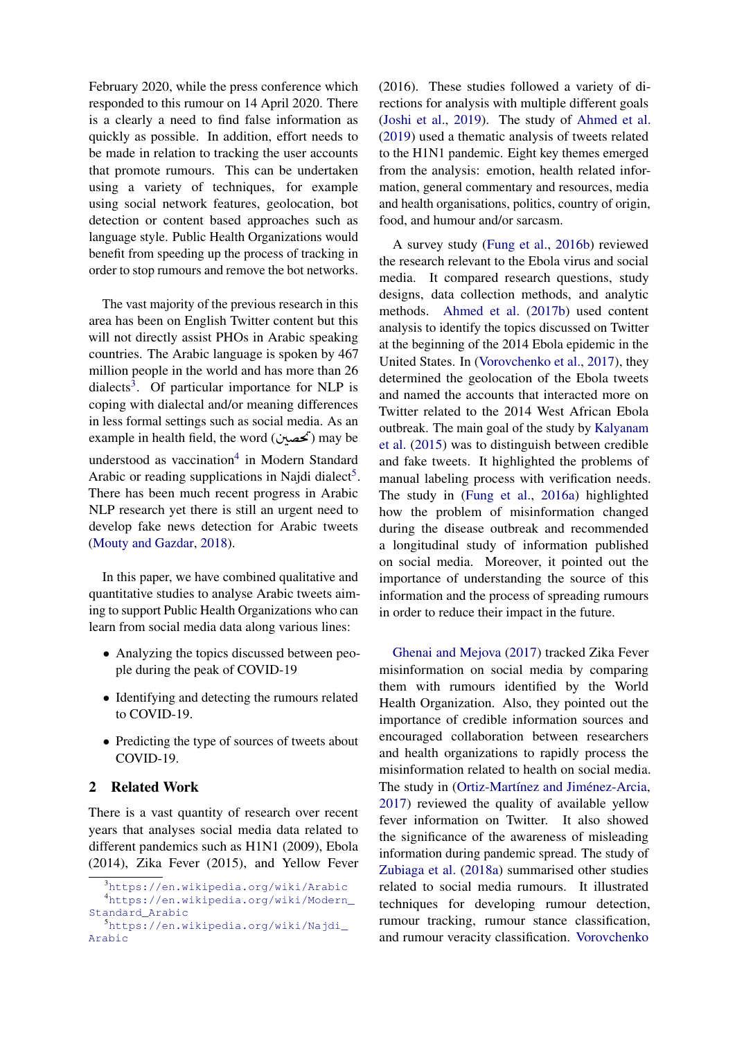February 2020, while the press conference which responded to this rumour on 14 April 2020. There is a clearly a need to find false information as quickly as possible. In addition, effort needs to be made in relation to tracking the user accounts that promote rumours. This can be undertaken using a variety of techniques, for example using social network features, geolocation, bot detection or content based approaches such as language style. Public Health Organizations would benefit from speeding up the process of tracking in order to stop rumours and remove the bot networks.

The vast majority of the previous research in this area has been on English Twitter content but this will not directly assist PHOs in Arabic speaking countries. The Arabic language is spoken by 467 million people in the world and has more than 26 dialects<sup>[3](#page-1-0)</sup>. Of particular importance for NLP is coping with dialectal and/or meaning differences in less formal settings such as social media. As an in less formal settings such as social media. As an<br>example in health field, the word (خصین) may be .<br>٦  $\ddot{\cdot}$  $\frac{1}{2}$ understood as vaccination<sup>[4](#page-1-1)</sup> in Modern Standard Arabic or reading supplications in Najdi dialect<sup>[5](#page-1-2)</sup>. There has been much recent progress in Arabic NLP research yet there is still an urgent need to develop fake news detection for Arabic tweets [\(Mouty and Gazdar,](#page-8-1) [2018\)](#page-8-1).

In this paper, we have combined qualitative and quantitative studies to analyse Arabic tweets aiming to support Public Health Organizations who can learn from social media data along various lines:

- Analyzing the topics discussed between people during the peak of COVID-19
- Identifying and detecting the rumours related to COVID-19.
- Predicting the type of sources of tweets about COVID-19.

## 2 Related Work

There is a vast quantity of research over recent years that analyses social media data related to different pandemics such as H1N1 (2009), Ebola (2014), Zika Fever (2015), and Yellow Fever (2016). These studies followed a variety of directions for analysis with multiple different goals [\(Joshi et al.,](#page-8-2) [2019\)](#page-8-2). The study of [Ahmed et al.](#page-7-0) [\(2019\)](#page-7-0) used a thematic analysis of tweets related to the H1N1 pandemic. Eight key themes emerged from the analysis: emotion, health related information, general commentary and resources, media and health organisations, politics, country of origin, food, and humour and/or sarcasm.

A survey study [\(Fung et al.,](#page-8-3) [2016b\)](#page-8-3) reviewed the research relevant to the Ebola virus and social media. It compared research questions, study designs, data collection methods, and analytic methods. [Ahmed et al.](#page-7-1) [\(2017b\)](#page-7-1) used content analysis to identify the topics discussed on Twitter at the beginning of the 2014 Ebola epidemic in the United States. In [\(Vorovchenko et al.,](#page-8-0) [2017\)](#page-8-0), they determined the geolocation of the Ebola tweets and named the accounts that interacted more on Twitter related to the 2014 West African Ebola outbreak. The main goal of the study by [Kalyanam](#page-8-4) [et al.](#page-8-4) [\(2015\)](#page-8-4) was to distinguish between credible and fake tweets. It highlighted the problems of manual labeling process with verification needs. The study in [\(Fung et al.,](#page-8-5) [2016a\)](#page-8-5) highlighted how the problem of misinformation changed during the disease outbreak and recommended a longitudinal study of information published on social media. Moreover, it pointed out the importance of understanding the source of this information and the process of spreading rumours in order to reduce their impact in the future.

[Ghenai and Mejova](#page-8-6) [\(2017\)](#page-8-6) tracked Zika Fever misinformation on social media by comparing them with rumours identified by the World Health Organization. Also, they pointed out the importance of credible information sources and encouraged collaboration between researchers and health organizations to rapidly process the misinformation related to health on social media. The study in (Ortiz-Martínez and Jiménez-Arcia, [2017\)](#page-8-7) reviewed the quality of available yellow fever information on Twitter. It also showed the significance of the awareness of misleading information during pandemic spread. The study of [Zubiaga et al.](#page-8-8) [\(2018a\)](#page-8-8) summarised other studies related to social media rumours. It illustrated techniques for developing rumour detection, rumour tracking, rumour stance classification, and rumour veracity classification. [Vorovchenko](#page-8-0)

<span id="page-1-1"></span><span id="page-1-0"></span><sup>3</sup><https://en.wikipedia.org/wiki/Arabic> <sup>4</sup>[https://en.wikipedia.org/wiki/Modern\\_](https://en.wikipedia.org/wiki/Modern_Standard_Arabic) [Standard\\_Arabic](https://en.wikipedia.org/wiki/Modern_Standard_Arabic)

<span id="page-1-2"></span><sup>5</sup>[https://en.wikipedia.org/wiki/Najdi\\_](https://en.wikipedia.org/wiki/Najdi_Arabic) [Arabic](https://en.wikipedia.org/wiki/Najdi_Arabic)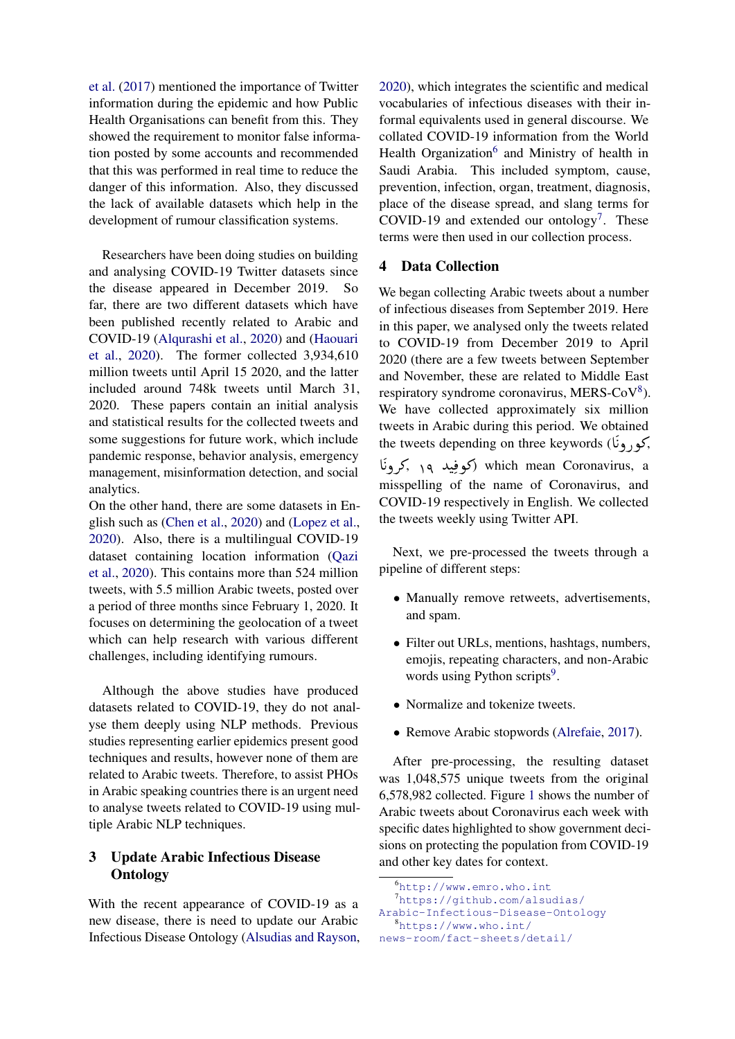[et al.](#page-8-0) [\(2017\)](#page-8-0) mentioned the importance of Twitter information during the epidemic and how Public Health Organisations can benefit from this. They showed the requirement to monitor false information posted by some accounts and recommended that this was performed in real time to reduce the danger of this information. Also, they discussed the lack of available datasets which help in the development of rumour classification systems.

Researchers have been doing studies on building and analysing COVID-19 Twitter datasets since the disease appeared in December 2019. So far, there are two different datasets which have been published recently related to Arabic and COVID-19 [\(Alqurashi et al.,](#page-7-2) [2020\)](#page-7-2) and [\(Haouari](#page-8-9) [et al.,](#page-8-9) [2020\)](#page-8-9). The former collected 3,934,610 million tweets until April 15 2020, and the latter included around 748k tweets until March 31, 2020. These papers contain an initial analysis and statistical results for the collected tweets and some suggestions for future work, which include pandemic response, behavior analysis, emergency management, misinformation detection, and social analytics.

On the other hand, there are some datasets in English such as [\(Chen et al.,](#page-8-10) [2020\)](#page-8-10) and [\(Lopez et al.,](#page-8-11) [2020\)](#page-8-11). Also, there is a multilingual COVID-19 dataset containing location information [\(Qazi](#page-8-12) [et al.,](#page-8-12) [2020\)](#page-8-12). This contains more than 524 million tweets, with 5.5 million Arabic tweets, posted over a period of three months since February 1, 2020. It focuses on determining the geolocation of a tweet which can help research with various different challenges, including identifying rumours.

Although the above studies have produced datasets related to COVID-19, they do not analyse them deeply using NLP methods. Previous studies representing earlier epidemics present good techniques and results, however none of them are related to Arabic tweets. Therefore, to assist PHOs in Arabic speaking countries there is an urgent need to analyse tweets related to COVID-19 using multiple Arabic NLP techniques.

# 3 Update Arabic Infectious Disease **Ontology**

With the recent appearance of COVID-19 as a new disease, there is need to update our Arabic Infectious Disease Ontology [\(Alsudias and Rayson,](#page-8-13)

[2020\)](#page-8-13), which integrates the scientific and medical vocabularies of infectious diseases with their informal equivalents used in general discourse. We collated COVID-19 information from the World Health Organization<sup>[6](#page-2-0)</sup> and Ministry of health in Saudi Arabia. This included symptom, cause, prevention, infection, organ, treatment, diagnosis, place of the disease spread, and slang terms for COVID-19 and extended our ontology<sup>[7](#page-2-1)</sup>. These terms were then used in our collection process.

## 4 Data Collection

We began collecting Arabic tweets about a number of infectious diseases from September 2019. Here in this paper, we analysed only the tweets related to COVID-19 from December 2019 to April 2020 (there are a few tweets between September and November, these are related to Middle East respiratory syndrome coronavirus, MERS-CoV<sup>[8](#page-2-2)</sup>). We have collected approximately six million tweets in Arabic during this period. We obtained  $t$ the tweets depending on three keywords ( $\epsilon$ ),  $\epsilon$ t ا<br>; A r<br>. ֦֚֚֚֚֚֚֚֚֚֚֚֚֡֬֝֝֝֝֝֝֕֝֝֝<del>֛</del> رونَ which mean Coronavirus, a ė misspelling of the name of Coronavirus, and

COVID-19 respectively in English. We collected the tweets weekly using Twitter API.

Next, we pre-processed the tweets through a pipeline of different steps:

- Manually remove retweets, advertisements, and spam.
- Filter out URLs, mentions, hashtags, numbers, emojis, repeating characters, and non-Arabic words using Python scripts<sup>[9](#page-3-0)</sup>.
- Normalize and tokenize tweets.
- Remove Arabic stopwords [\(Alrefaie,](#page-8-14) [2017\)](#page-8-14).

After pre-processing, the resulting dataset was 1,048,575 unique tweets from the original 6,578,982 collected. Figure [1](#page-3-1) shows the number of Arabic tweets about Coronavirus each week with specific dates highlighted to show government decisions on protecting the population from COVID-19 and other key dates for context.

<span id="page-2-0"></span><sup>6</sup><http://www.emro.who.int>

<span id="page-2-1"></span><sup>7</sup>[https://github.com/alsudias/](https://github.com/alsudias/Arabic-Infectious-Disease-Ontology)

<span id="page-2-2"></span>[Arabic-Infectious-Disease-Ontology](https://github.com/alsudias/Arabic-Infectious-Disease-Ontology) <sup>8</sup>[https://www.who.int/]( https://www.who.int/news-room/fact-sheets/detail/middle-east-respiratory-syndrome-coronavirus-(mers-cov))

[news-room/fact-sheets/detail/]( https://www.who.int/news-room/fact-sheets/detail/middle-east-respiratory-syndrome-coronavirus-(mers-cov))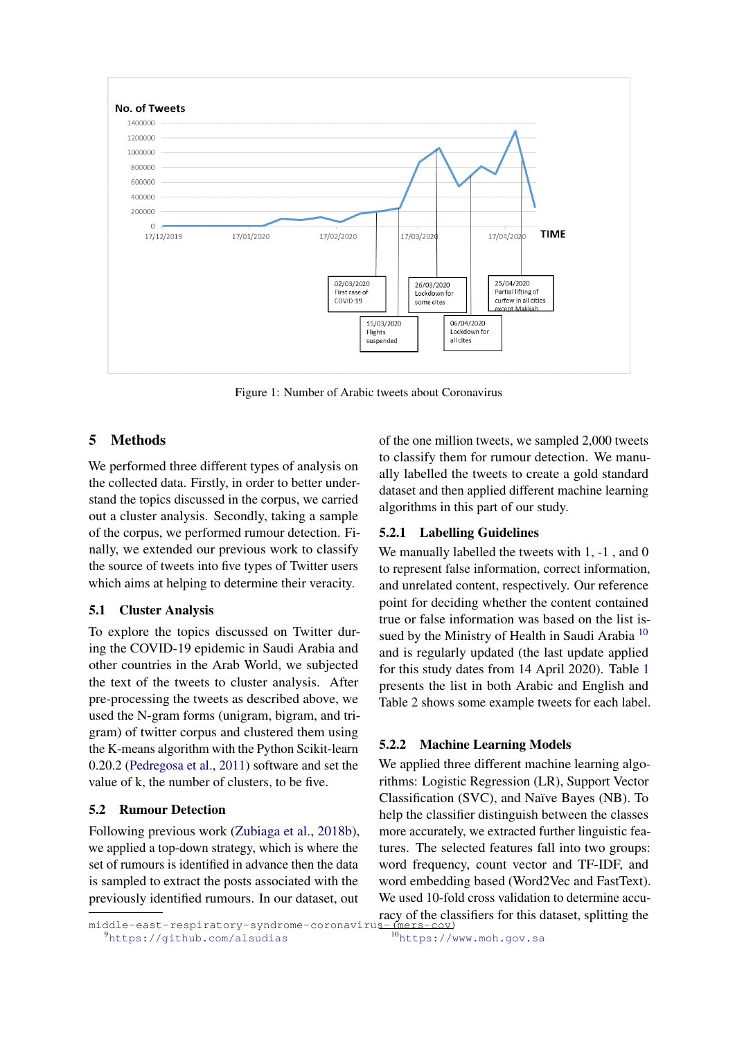<span id="page-3-1"></span>

Figure 1: Number of Arabic tweets about Coronavirus

## [5 Methods]( https://www.who.int/news-room/fact-sheets/detail/middle-east-respiratory-syndrome-coronavirus-(mers-cov))

[We performed three different types of analysis on]( https://www.who.int/news-room/fact-sheets/detail/middle-east-respiratory-syndrome-coronavirus-(mers-cov)) [the collected data. Firstly, in order to better under]( https://www.who.int/news-room/fact-sheets/detail/middle-east-respiratory-syndrome-coronavirus-(mers-cov))[stand the topics discussed in the corpus, we carried]( https://www.who.int/news-room/fact-sheets/detail/middle-east-respiratory-syndrome-coronavirus-(mers-cov)) [out a cluster analysis. Secondly, taking a sample]( https://www.who.int/news-room/fact-sheets/detail/middle-east-respiratory-syndrome-coronavirus-(mers-cov)) [of the corpus, we performed rumour detection. Fi]( https://www.who.int/news-room/fact-sheets/detail/middle-east-respiratory-syndrome-coronavirus-(mers-cov))[nally, we extended our previous work to classify]( https://www.who.int/news-room/fact-sheets/detail/middle-east-respiratory-syndrome-coronavirus-(mers-cov)) [the source of tweets into five types of Twitter users]( https://www.who.int/news-room/fact-sheets/detail/middle-east-respiratory-syndrome-coronavirus-(mers-cov)) [which aims at helping to determine their veracity.]( https://www.who.int/news-room/fact-sheets/detail/middle-east-respiratory-syndrome-coronavirus-(mers-cov))

### [5.1 Cluster Analysis]( https://www.who.int/news-room/fact-sheets/detail/middle-east-respiratory-syndrome-coronavirus-(mers-cov))

[To explore the topics discussed on Twitter dur]( https://www.who.int/news-room/fact-sheets/detail/middle-east-respiratory-syndrome-coronavirus-(mers-cov))[ing the COVID-19 epidemic in Saudi Arabia and]( https://www.who.int/news-room/fact-sheets/detail/middle-east-respiratory-syndrome-coronavirus-(mers-cov)) [other countries in the Arab World, we subjected]( https://www.who.int/news-room/fact-sheets/detail/middle-east-respiratory-syndrome-coronavirus-(mers-cov)) [the text of the tweets to cluster analysis. After]( https://www.who.int/news-room/fact-sheets/detail/middle-east-respiratory-syndrome-coronavirus-(mers-cov)) [pre-processing the tweets as described above, we]( https://www.who.int/news-room/fact-sheets/detail/middle-east-respiratory-syndrome-coronavirus-(mers-cov)) [used the N-gram forms \(unigram, bigram, and tri]( https://www.who.int/news-room/fact-sheets/detail/middle-east-respiratory-syndrome-coronavirus-(mers-cov))[gram\) of twitter corpus and clustered them using]( https://www.who.int/news-room/fact-sheets/detail/middle-east-respiratory-syndrome-coronavirus-(mers-cov)) [the K-means algorithm with the Python Scikit-learn]( https://www.who.int/news-room/fact-sheets/detail/middle-east-respiratory-syndrome-coronavirus-(mers-cov)) 0.20.2 [\(Pedregosa et al.,](#page-8-15) [2011\) software and set the]( https://www.who.int/news-room/fact-sheets/detail/middle-east-respiratory-syndrome-coronavirus-(mers-cov)) [value of k, the number of clusters, to be five.]( https://www.who.int/news-room/fact-sheets/detail/middle-east-respiratory-syndrome-coronavirus-(mers-cov))

## <span id="page-3-3"></span>[5.2 Rumour Detection]( https://www.who.int/news-room/fact-sheets/detail/middle-east-respiratory-syndrome-coronavirus-(mers-cov))

[Following previous work \(Zubiaga et al.,]( https://www.who.int/news-room/fact-sheets/detail/middle-east-respiratory-syndrome-coronavirus-(mers-cov)) [2018b\)](#page-8-16), [we applied a top-down strategy, which is where the]( https://www.who.int/news-room/fact-sheets/detail/middle-east-respiratory-syndrome-coronavirus-(mers-cov)) [set of rumours is identified in advance then the data]( https://www.who.int/news-room/fact-sheets/detail/middle-east-respiratory-syndrome-coronavirus-(mers-cov)) [is sampled to extract the posts associated with the]( https://www.who.int/news-room/fact-sheets/detail/middle-east-respiratory-syndrome-coronavirus-(mers-cov)) [previously identified rumours. In our dataset, out]( https://www.who.int/news-room/fact-sheets/detail/middle-east-respiratory-syndrome-coronavirus-(mers-cov)) of the one million tweets, we sampled 2,000 tweets to classify them for rumour detection. We manually labelled the tweets to create a gold standard dataset and then applied different machine learning algorithms in this part of our study.

## 5.2.1 Labelling Guidelines

We manually labelled the tweets with 1, -1, and 0 to represent false information, correct information, and unrelated content, respectively. Our reference point for deciding whether the content contained true or false information was based on the list is-sued by the Ministry of Health in Saudi Arabia<sup>[10](#page-3-2)</sup> and is regularly updated (the last update applied for this study dates from 14 April 2020). Table [1](#page-4-0) presents the list in both Arabic and English and Table [2](#page-4-1) shows some example tweets for each label.

## 5.2.2 Machine Learning Models

<span id="page-3-2"></span>We applied three different machine learning algorithms: Logistic Regression (LR), Support Vector Classification (SVC), and Naïve Bayes (NB). To help the classifier distinguish between the classes more accurately, we extracted further linguistic features. The selected features fall into two groups: word frequency, count vector and TF-IDF, and word embedding based (Word2Vec and FastText). We used 10-fold cross validation to determine accuracy of the classifiers for this dataset, splitting the

<span id="page-3-0"></span>middle-east-respiratory-syndrome-coronaviru <sup>9</sup><https://github.com/alsudias>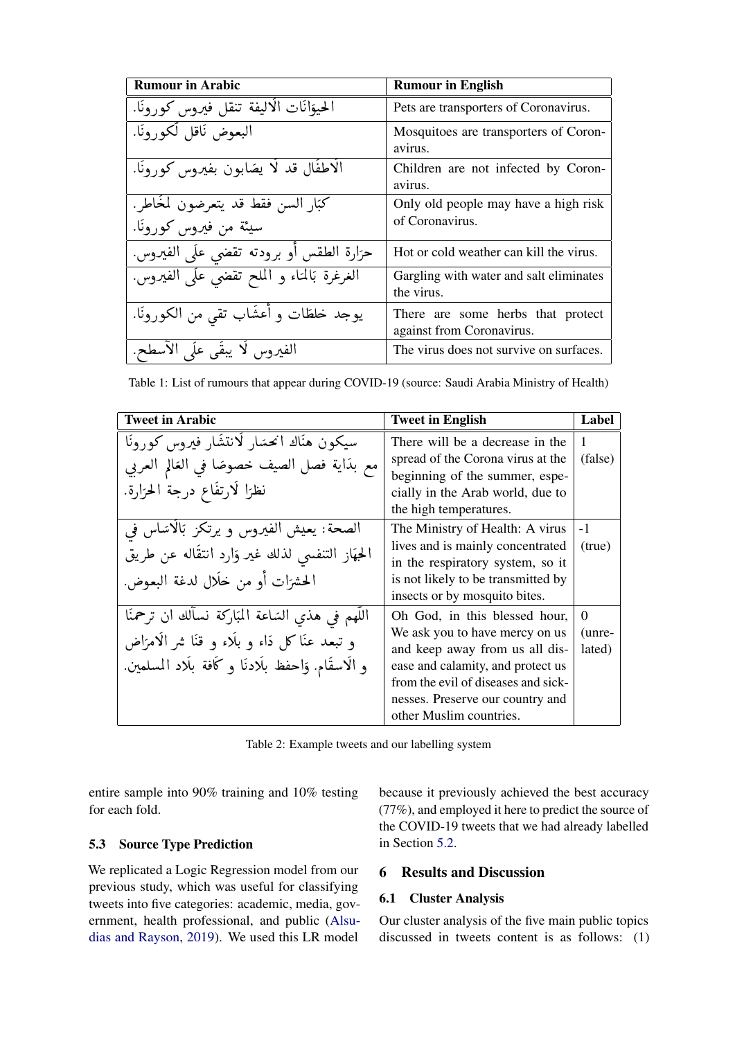<span id="page-4-0"></span>

| <b>Rumour in Arabic</b>                               | <b>Rumour in English</b>                                       |  |
|-------------------------------------------------------|----------------------------------------------------------------|--|
| الحيوَانَاتِ الْاليفةِ تنقل فيروس كورونًا.            | Pets are transporters of Coronavirus.                          |  |
| البعوض نَاقل لَّكورونَا.                              | Mosquitoes are transporters of Coron-<br>avirus.               |  |
| الْاطفَال قد لَا يَصَابُون بِفَيْرُوس كُورُونَا.      | Children are not infected by Coron-<br>avirus.                 |  |
| كَبَارِ السن فقط قد يتعرضون لمُخَاطر .                | Only old people may have a high risk                           |  |
| سيئة من فيروس كورونًا.                                | of Coronavirus.                                                |  |
| حرَارة الطقس أو برودته تقضي علَى الفيروس.             | Hot or cold weather can kill the virus.                        |  |
| الغرغرة بَالمُتَاء و المُلْحَ تَقْضَى عَلَى الفيروسِ. | Gargling with water and salt eliminates<br>the virus.          |  |
| يوجد خلطات و أعشَاب تقى من الكورونا.                  | There are some herbs that protect<br>against from Coronavirus. |  |
| الفيروس لَا يبقَى عَلَى الْأَسْطَحِ.                  | The virus does not survive on surfaces.                        |  |

Table 1: List of rumours that appear during COVID-19 (source: Saudi Arabia Ministry of Health)

<span id="page-4-1"></span>

| <b>Tweet in Arabic</b>                                                                                                                                        | <b>Tweet in English</b>                                                                                                                                                                                                                      | Label                        |
|---------------------------------------------------------------------------------------------------------------------------------------------------------------|----------------------------------------------------------------------------------------------------------------------------------------------------------------------------------------------------------------------------------------------|------------------------------|
| سيكون هناك انحسَار لَانتشَار فيروس كورونَا<br>مع بدَاية فصل الصيف خصوصًا في العَالِم العربي<br>نظرًا لَارتفَاع درجة الحرّارة.                                 | There will be a decrease in the<br>spread of the Corona virus at the<br>beginning of the summer, espe-<br>cially in the Arab world, due to<br>the high temperatures.                                                                         | 1<br>(false)                 |
| الصحة: يعيش الفيروس و يرتكز بالاسَاس في<br>الحِهَارِ التنفسي لذلك غير وَارِد انتقَاله عن طريق<br>الحشرَات أو من خلَال لدغة البعوض.                            | The Ministry of Health: A virus<br>lives and is mainly concentrated<br>in the respiratory system, so it<br>is not likely to be transmitted by<br>insects or by mosquito bites.                                                               | $-1$<br>(true)               |
| اللَّهم في هذي السَاعة المبَاركة نسألك ان ترحمنَا<br>و تبعد عنّا كل دًاء و بلّاء و قنّا شر الامرّاض<br>و الاسقَام. وَاحفظ بِلَادنَا و كَافَة بِلَاد المسلمين. | Oh God, in this blessed hour,<br>We ask you to have mercy on us<br>and keep away from us all dis-<br>ease and calamity, and protect us<br>from the evil of diseases and sick-<br>nesses. Preserve our country and<br>other Muslim countries. | $\Omega$<br>(unre-<br>lated) |

Table 2: Example tweets and our labelling system

entire sample into 90% training and 10% testing for each fold.

## **5.3** Source Type Prediction

We replicated a Logic Regression model from our previous study, which was useful for classifying tweets into five categories: academic, media, government, health professional, and public (Alsudias and Rayson, 2019). We used this LR model

because it previously achieved the best accuracy (77%), and employed it here to predict the source of the COVID-19 tweets that we had already labelled in Section 5.2.

#### **Results and Discussion** 6

#### **Cluster Analysis**  $6.1$

Our cluster analysis of the five main public topics discussed in tweets content is as follows: (1)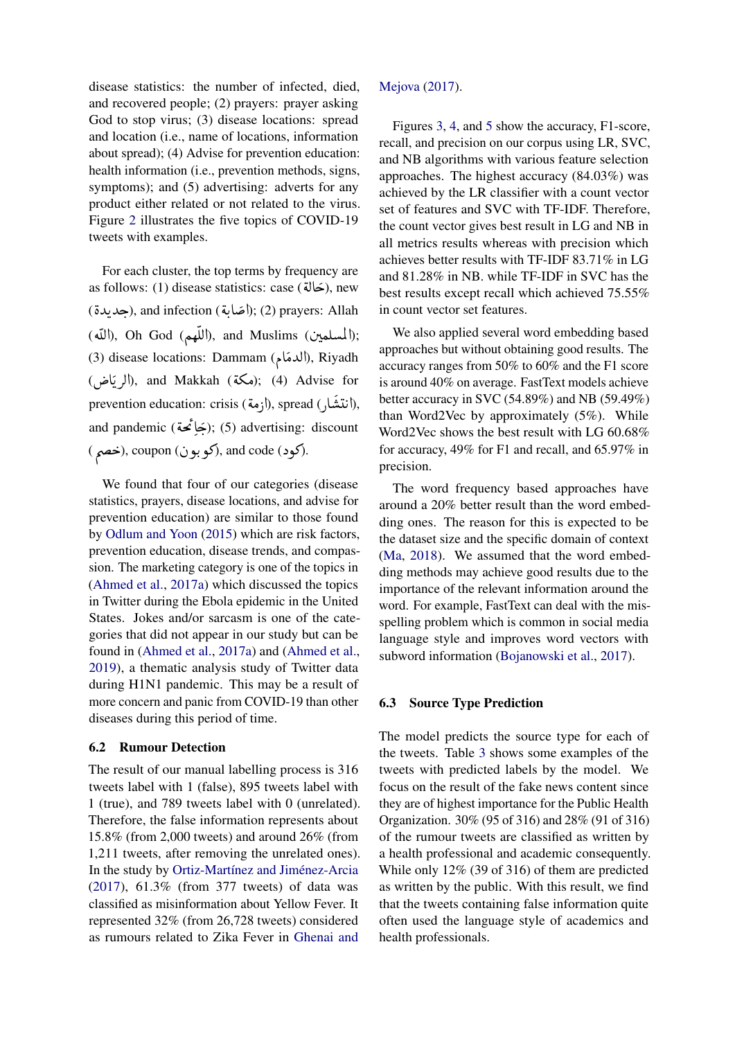disease statistics: the number of infected, died, and recovered people; (2) prayers: prayer asking God to stop virus; (3) disease locations: spread and location (i.e., name of locations, information about spread); (4) Advise for prevention education: health information (i.e., prevention methods, signs, symptoms); and (5) advertising: adverts for any product either related or not related to the virus. Figure [2](#page-6-0) illustrates the five topics of COVID-19 tweets with examples.

For each cluster, the top terms by frequency are <br>(حَالَةَ). new For each cluster, the top terms by frequency are as follows: (1) disease statistics: case ( $\overrightarrow{\mathbf{a}}$ ), new as fonows. (1) disease statistics. case (حديدة), new<br>(صديدة); (2) prayers: Allah (جديدة); د.<br>.. ֦֦֦֦֦֦֦֦֦֦֦֦֦֦֦֦֦֦֦֦֦֦֦֦֦֦֦֦֦֦֦֡ . A السلمين); end movem (باللهم); (exer,), and movem (أللّهم);<br>(السلمين); and Muslims (اللّهم); .<br>س ا)<br>س j  $\ddot{\cdot}$ (اللغهم), Un God (اللغهم), and Muslims (اللغه);<br>(3) disease locations: Dammam (الدمَام), Riyadh (الدهام), kiyadii), xiyadii), and Makkah (ممكة); (4) Advise for ر<br>ت ر<br>پ (محمه); (4) Advise for<br>prevention education: crisis (أزمة), spread ( ),أزمة),  $\overline{a}$ ֦ׅ المستدلي ), spread (الرها), spread (الرها), and pandemic (بخيائمحة); (5) advertising: discount ر<br>ء A .<br>. and pandeme (کچونک), (5) advertising.<br>(کود), coupon (کو بون), and code (خصم).

We found that four of our categories (disease statistics, prayers, disease locations, and advise for prevention education) are similar to those found by [Odlum and Yoon](#page-8-18) [\(2015\)](#page-8-18) which are risk factors, prevention education, disease trends, and compassion. The marketing category is one of the topics in [\(Ahmed et al.,](#page-7-3) [2017a\)](#page-7-3) which discussed the topics in Twitter during the Ebola epidemic in the United States. Jokes and/or sarcasm is one of the categories that did not appear in our study but can be found in [\(Ahmed et al.,](#page-7-3) [2017a\)](#page-7-3) and [\(Ahmed et al.,](#page-7-0) [2019\)](#page-7-0), a thematic analysis study of Twitter data during H1N1 pandemic. This may be a result of more concern and panic from COVID-19 than other diseases during this period of time.

#### 6.2 Rumour Detection

The result of our manual labelling process is 316 tweets label with 1 (false), 895 tweets label with 1 (true), and 789 tweets label with 0 (unrelated). Therefore, the false information represents about 15.8% (from 2,000 tweets) and around 26% (from 1,211 tweets, after removing the unrelated ones). In the study by Ortiz-Martínez and Jiménez-Arcia [\(2017\)](#page-8-7), 61.3% (from 377 tweets) of data was classified as misinformation about Yellow Fever. It represented 32% (from 26,728 tweets) considered as rumours related to Zika Fever in [Ghenai and](#page-8-6)

### [Mejova](#page-8-6) [\(2017\)](#page-8-6).

Figures [3,](#page-7-4) [4,](#page-7-5) and [5](#page-7-6) show the accuracy, F1-score, recall, and precision on our corpus using LR, SVC, and NB algorithms with various feature selection approaches. The highest accuracy (84.03%) was achieved by the LR classifier with a count vector set of features and SVC with TF-IDF. Therefore, the count vector gives best result in LG and NB in all metrics results whereas with precision which achieves better results with TF-IDF 83.71% in LG and 81.28% in NB. while TF-IDF in SVC has the best results except recall which achieved 75.55% in count vector set features.

We also applied several word embedding based approaches but without obtaining good results. The accuracy ranges from 50% to 60% and the F1 score is around 40% on average. FastText models achieve better accuracy in SVC (54.89%) and NB (59.49%) than Word2Vec by approximately (5%). While Word2Vec shows the best result with LG 60.68% for accuracy, 49% for F1 and recall, and 65.97% in precision.

The word frequency based approaches have around a 20% better result than the word embedding ones. The reason for this is expected to be the dataset size and the specific domain of context [\(Ma,](#page-8-19) [2018\)](#page-8-19). We assumed that the word embedding methods may achieve good results due to the importance of the relevant information around the word. For example, FastText can deal with the misspelling problem which is common in social media language style and improves word vectors with subword information [\(Bojanowski et al.,](#page-8-20) [2017\)](#page-8-20).

#### 6.3 Source Type Prediction

The model predicts the source type for each of the tweets. Table [3](#page-6-1) shows some examples of the tweets with predicted labels by the model. We focus on the result of the fake news content since they are of highest importance for the Public Health Organization. 30% (95 of 316) and 28% (91 of 316) of the rumour tweets are classified as written by a health professional and academic consequently. While only 12% (39 of 316) of them are predicted as written by the public. With this result, we find that the tweets containing false information quite often used the language style of academics and health professionals.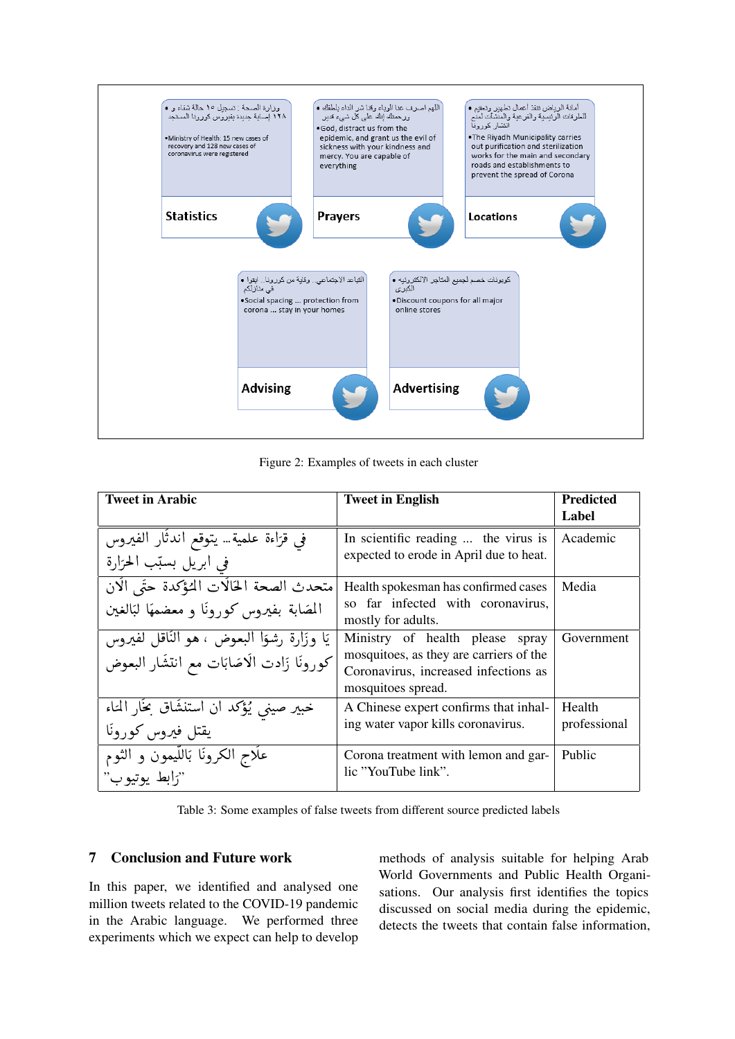<span id="page-6-0"></span>

Figure 2: Examples of tweets in each cluster

<span id="page-6-1"></span>

| <b>Tweet in Arabic</b>                                                                     | <b>Tweet in English</b>                                                                                                                     | <b>Predicted</b>       |
|--------------------------------------------------------------------------------------------|---------------------------------------------------------------------------------------------------------------------------------------------|------------------------|
|                                                                                            |                                                                                                                                             | Label                  |
| في قَرَاءَة عَلَمِيَّةٌ… يَتَوَقَّعُ أَنْدَثَارِ الفَيْرُوسَ<br>في ابريل بسبّب الحرّارة    | In scientific reading  the virus is<br>expected to erode in April due to heat.                                                              | Academic               |
| متحدث الصحة الخالات المؤكدة حتَى الَان<br>المصَابة بفيروس كورونا و معضمهَا لبَالغين        | Health spokesman has confirmed cases<br>so far infected with coronavirus,<br>mostly for adults.                                             | Media                  |
| يًا وزَارة رشوًا البعوض ، هو النّاقل لفيروس<br>كورونًا زَادت الَاصَابَات مع انتشَار البعوض | Ministry of health please<br>spray<br>mosquitoes, as they are carriers of the<br>Coronavirus, increased infections as<br>mosquitoes spread. | Government             |
| خبير صيني يُؤكد ان استنشَاق بخَار المَاء<br>يقتل فيروس كورونا                              | A Chinese expert confirms that inhal-<br>ing water vapor kills coronavirus.                                                                 | Health<br>professional |
| عَلَاج الكرونَا بَاللَّيْمُونَ وَ الثَّوْمُ<br>"رابط يوتيو ب"                              | Corona treatment with lemon and gar-<br>lic "YouTube link".                                                                                 | Public                 |

Table 3: Some examples of false tweets from different source predicted labels

#### $\overline{7}$ **Conclusion and Future work**

In this paper, we identified and analysed one million tweets related to the COVID-19 pandemic in the Arabic language. We performed three experiments which we expect can help to develop methods of analysis suitable for helping Arab World Governments and Public Health Organisations. Our analysis first identifies the topics discussed on social media during the epidemic, detects the tweets that contain false information,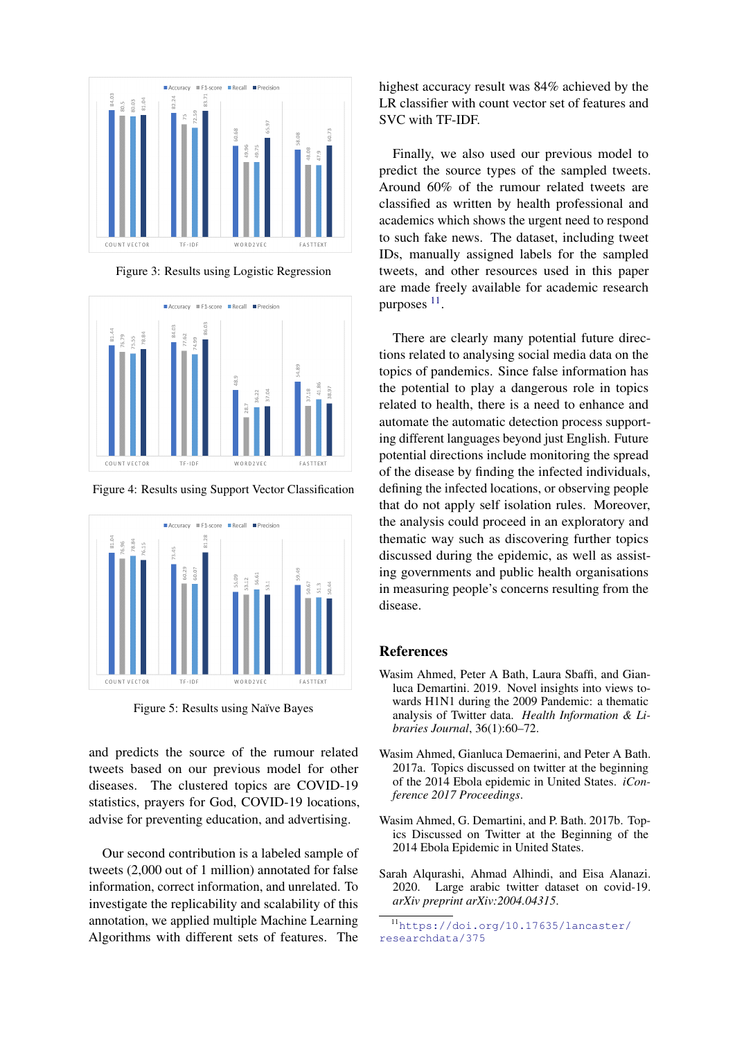<span id="page-7-4"></span>

Figure 3: Results using Logistic Regression

<span id="page-7-5"></span>

Figure 4: Results using Support Vector Classification

<span id="page-7-6"></span>

Figure 5: Results using Naïve Bayes

and predicts the source of the rumour related tweets based on our previous model for other diseases. The clustered topics are COVID-19 statistics, prayers for God, COVID-19 locations, advise for preventing education, and advertising.

Our second contribution is a labeled sample of tweets (2,000 out of 1 million) annotated for false information, correct information, and unrelated. To investigate the replicability and scalability of this annotation, we applied multiple Machine Learning Algorithms with different sets of features. The

highest accuracy result was 84% achieved by the LR classifier with count vector set of features and SVC with TF-IDF.

Finally, we also used our previous model to predict the source types of the sampled tweets. Around 60% of the rumour related tweets are classified as written by health professional and academics which shows the urgent need to respond to such fake news. The dataset, including tweet IDs, manually assigned labels for the sampled tweets, and other resources used in this paper are made freely available for academic research purposes  $11$ .

There are clearly many potential future directions related to analysing social media data on the topics of pandemics. Since false information has the potential to play a dangerous role in topics related to health, there is a need to enhance and automate the automatic detection process supporting different languages beyond just English. Future potential directions include monitoring the spread of the disease by finding the infected individuals, defining the infected locations, or observing people that do not apply self isolation rules. Moreover, the analysis could proceed in an exploratory and thematic way such as discovering further topics discussed during the epidemic, as well as assisting governments and public health organisations in measuring people's concerns resulting from the disease.

#### References

- <span id="page-7-0"></span>Wasim Ahmed, Peter A Bath, Laura Sbaffi, and Gianluca Demartini. 2019. Novel insights into views towards H1N1 during the 2009 Pandemic: a thematic analysis of Twitter data. *Health Information & Libraries Journal*, 36(1):60–72.
- <span id="page-7-3"></span>Wasim Ahmed, Gianluca Demaerini, and Peter A Bath. 2017a. Topics discussed on twitter at the beginning of the 2014 Ebola epidemic in United States. *iConference 2017 Proceedings*.
- <span id="page-7-1"></span>Wasim Ahmed, G. Demartini, and P. Bath. 2017b. Topics Discussed on Twitter at the Beginning of the 2014 Ebola Epidemic in United States.
- <span id="page-7-2"></span>Sarah Alqurashi, Ahmad Alhindi, and Eisa Alanazi. 2020. Large arabic twitter dataset on covid-19. *arXiv preprint arXiv:2004.04315*.

<span id="page-7-7"></span><sup>11</sup>[https://doi.org/10.17635/lancaster/](https://doi.org/10.17635/lancaster/researchdata/375) [researchdata/375](https://doi.org/10.17635/lancaster/researchdata/375)